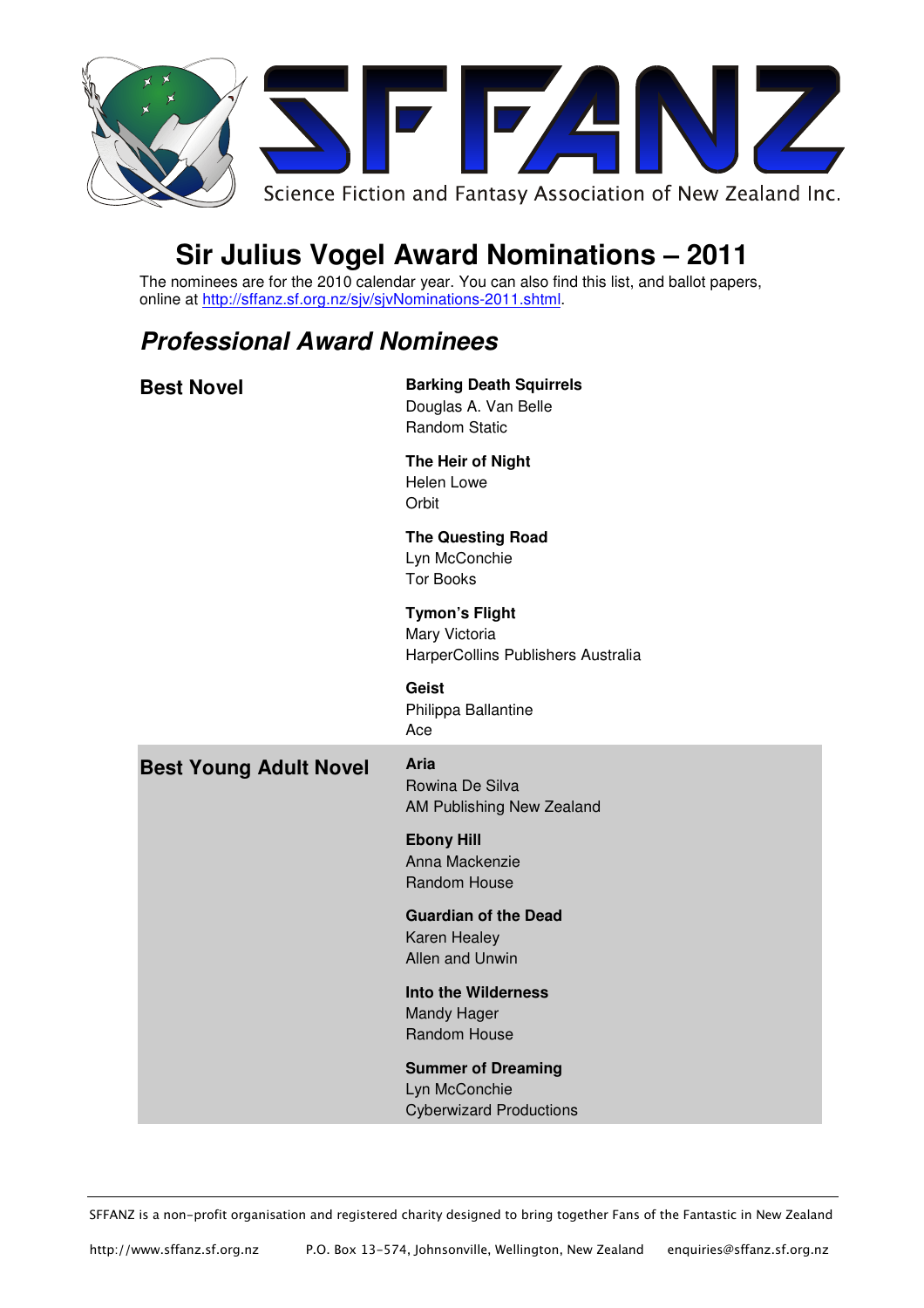

# **Sir Julius Vogel Award Nominations – 2011**

The nominees are for the 2010 calendar year. You can also find this list, and ballot papers, online at http://sffanz.sf.org.nz/sjv/sjvNominations-2011.shtml.

### **Professional Award Nominees**

| <b>Best Novel</b>             | <b>Barking Death Squirrels</b><br>Douglas A. Van Belle<br><b>Random Static</b> |
|-------------------------------|--------------------------------------------------------------------------------|
|                               | The Heir of Night<br>Helen Lowe<br>Orbit                                       |
|                               | <b>The Questing Road</b><br>Lyn McConchie<br><b>Tor Books</b>                  |
|                               | <b>Tymon's Flight</b><br>Mary Victoria<br>HarperCollins Publishers Australia   |
|                               | <b>Geist</b><br>Philippa Ballantine<br>Ace                                     |
| <b>Best Young Adult Novel</b> | Aria<br>Rowina De Silva<br>AM Publishing New Zealand                           |
|                               | <b>Ebony Hill</b><br>Anna Mackenzie<br>Random House                            |
|                               | <b>Guardian of the Dead</b><br>Karen Healey<br>Allen and Unwin                 |
|                               | <b>Into the Wilderness</b><br>Mandy Hager<br>Random House                      |
|                               | <b>Summer of Dreaming</b>                                                      |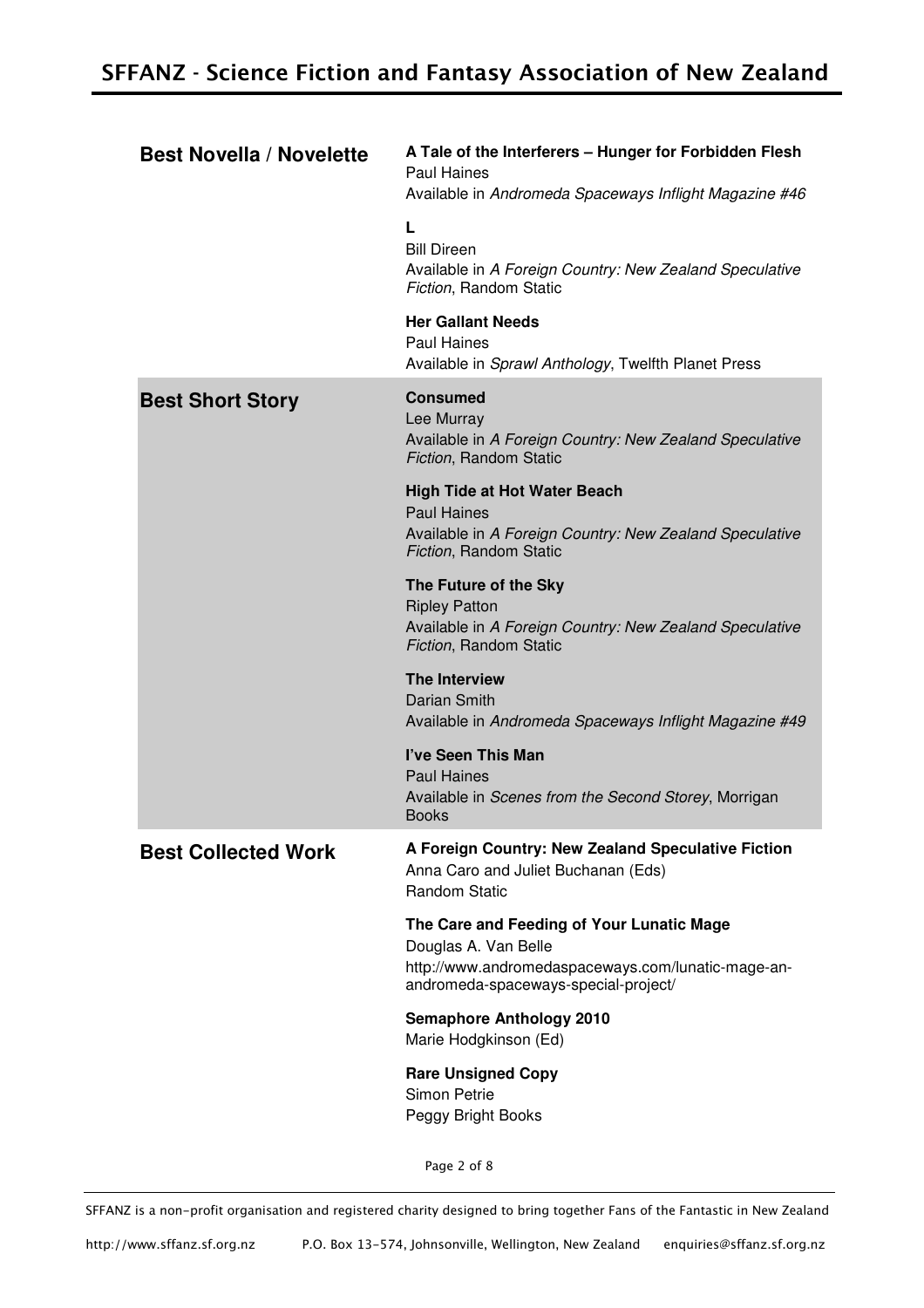| <b>Best Novella / Novelette</b> | A Tale of the Interferers - Hunger for Forbidden Flesh<br><b>Paul Haines</b><br>Available in Andromeda Spaceways Inflight Magazine #46                          |
|---------------------------------|-----------------------------------------------------------------------------------------------------------------------------------------------------------------|
|                                 | L<br><b>Bill Direen</b><br>Available in A Foreign Country: New Zealand Speculative<br>Fiction, Random Static                                                    |
|                                 | <b>Her Gallant Needs</b><br><b>Paul Haines</b><br>Available in Sprawl Anthology, Twelfth Planet Press                                                           |
| <b>Best Short Story</b>         | <b>Consumed</b><br>Lee Murray<br>Available in A Foreign Country: New Zealand Speculative<br>Fiction, Random Static                                              |
|                                 | <b>High Tide at Hot Water Beach</b><br><b>Paul Haines</b><br>Available in A Foreign Country: New Zealand Speculative<br>Fiction, Random Static                  |
|                                 | The Future of the Sky<br><b>Ripley Patton</b><br>Available in A Foreign Country: New Zealand Speculative<br>Fiction, Random Static                              |
|                                 | <b>The Interview</b><br>Darian Smith<br>Available in Andromeda Spaceways Inflight Magazine #49                                                                  |
|                                 | I've Seen This Man<br><b>Paul Haines</b><br>Available in Scenes from the Second Storey, Morrigan<br><b>Books</b>                                                |
| <b>Best Collected Work</b>      | A Foreign Country: New Zealand Speculative Fiction<br>Anna Caro and Juliet Buchanan (Eds)<br><b>Random Static</b>                                               |
|                                 | The Care and Feeding of Your Lunatic Mage<br>Douglas A. Van Belle<br>http://www.andromedaspaceways.com/lunatic-mage-an-<br>andromeda-spaceways-special-project/ |
|                                 | <b>Semaphore Anthology 2010</b><br>Marie Hodgkinson (Ed)                                                                                                        |
|                                 | <b>Rare Unsigned Copy</b><br>Simon Petrie<br>Peggy Bright Books                                                                                                 |

Page 2 of 8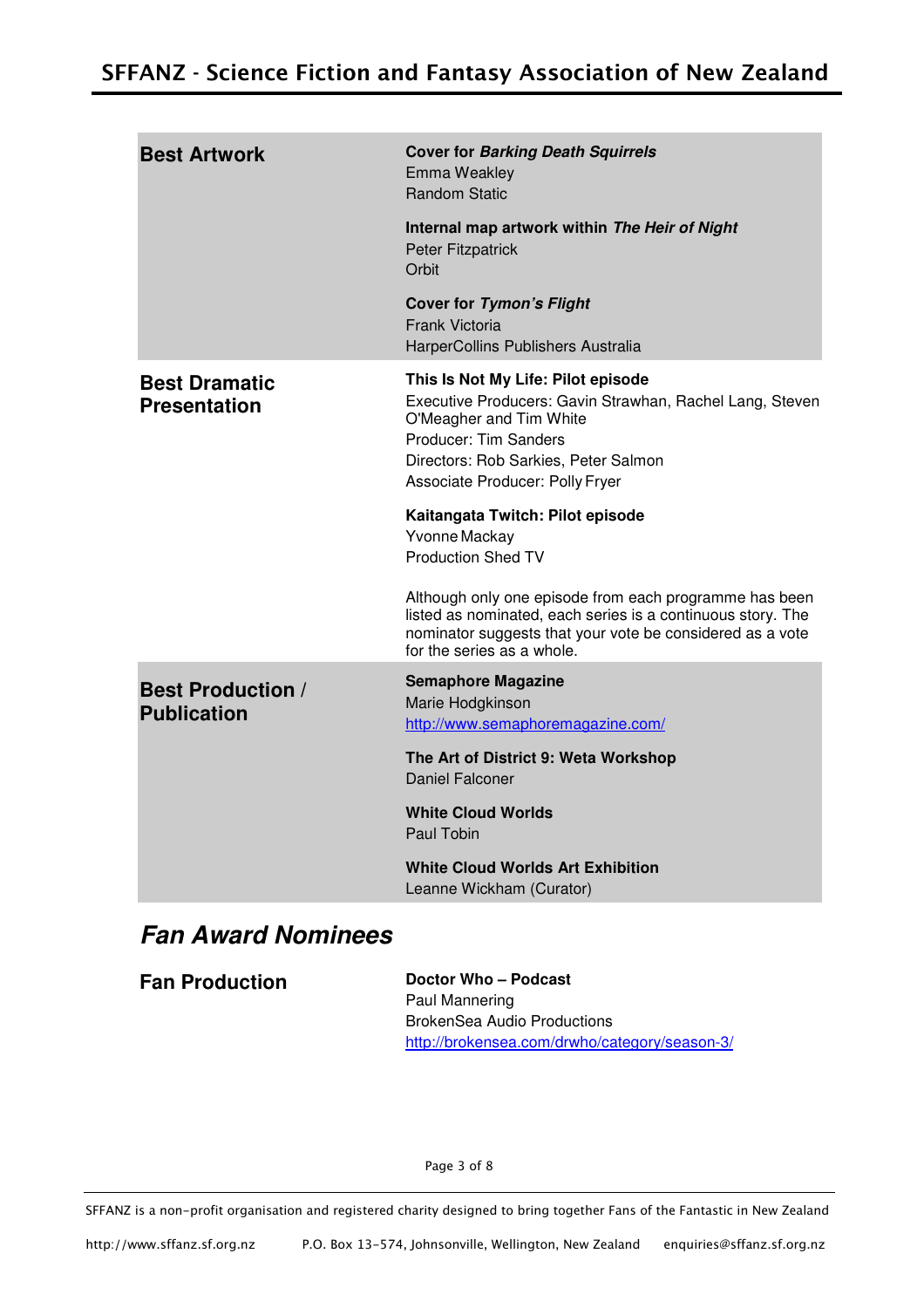| <b>Best Artwork</b>                            | <b>Cover for Barking Death Squirrels</b><br>Emma Weakley<br><b>Random Static</b>                                                                                                                                              |
|------------------------------------------------|-------------------------------------------------------------------------------------------------------------------------------------------------------------------------------------------------------------------------------|
|                                                | Internal map artwork within The Heir of Night<br>Peter Fitzpatrick<br>Orbit                                                                                                                                                   |
|                                                | <b>Cover for Tymon's Flight</b><br><b>Frank Victoria</b><br>HarperCollins Publishers Australia                                                                                                                                |
| <b>Best Dramatic</b><br><b>Presentation</b>    | This Is Not My Life: Pilot episode<br>Executive Producers: Gavin Strawhan, Rachel Lang, Steven<br>O'Meagher and Tim White<br>Producer: Tim Sanders<br>Directors: Rob Sarkies, Peter Salmon<br>Associate Producer: Polly Fryer |
|                                                | Kaitangata Twitch: Pilot episode<br>Yvonne Mackay<br><b>Production Shed TV</b>                                                                                                                                                |
|                                                | Although only one episode from each programme has been<br>listed as nominated, each series is a continuous story. The<br>nominator suggests that your vote be considered as a vote<br>for the series as a whole.              |
| <b>Best Production /</b><br><b>Publication</b> | <b>Semaphore Magazine</b><br>Marie Hodgkinson<br>http://www.semaphoremagazine.com/                                                                                                                                            |
|                                                | The Art of District 9: Weta Workshop<br>Daniel Falconer                                                                                                                                                                       |
|                                                | <b>White Cloud Worlds</b><br>Paul Tobin                                                                                                                                                                                       |
|                                                | <b>White Cloud Worlds Art Exhibition</b><br>Leanne Wickham (Curator)                                                                                                                                                          |

## **Fan Award Nominees**

| <b>Fan Production</b> | Doctor Who – Podcast                          |
|-----------------------|-----------------------------------------------|
|                       | Paul Mannering                                |
|                       | <b>BrokenSea Audio Productions</b>            |
|                       | http://brokensea.com/drwho/category/season-3/ |

Page 3 of 8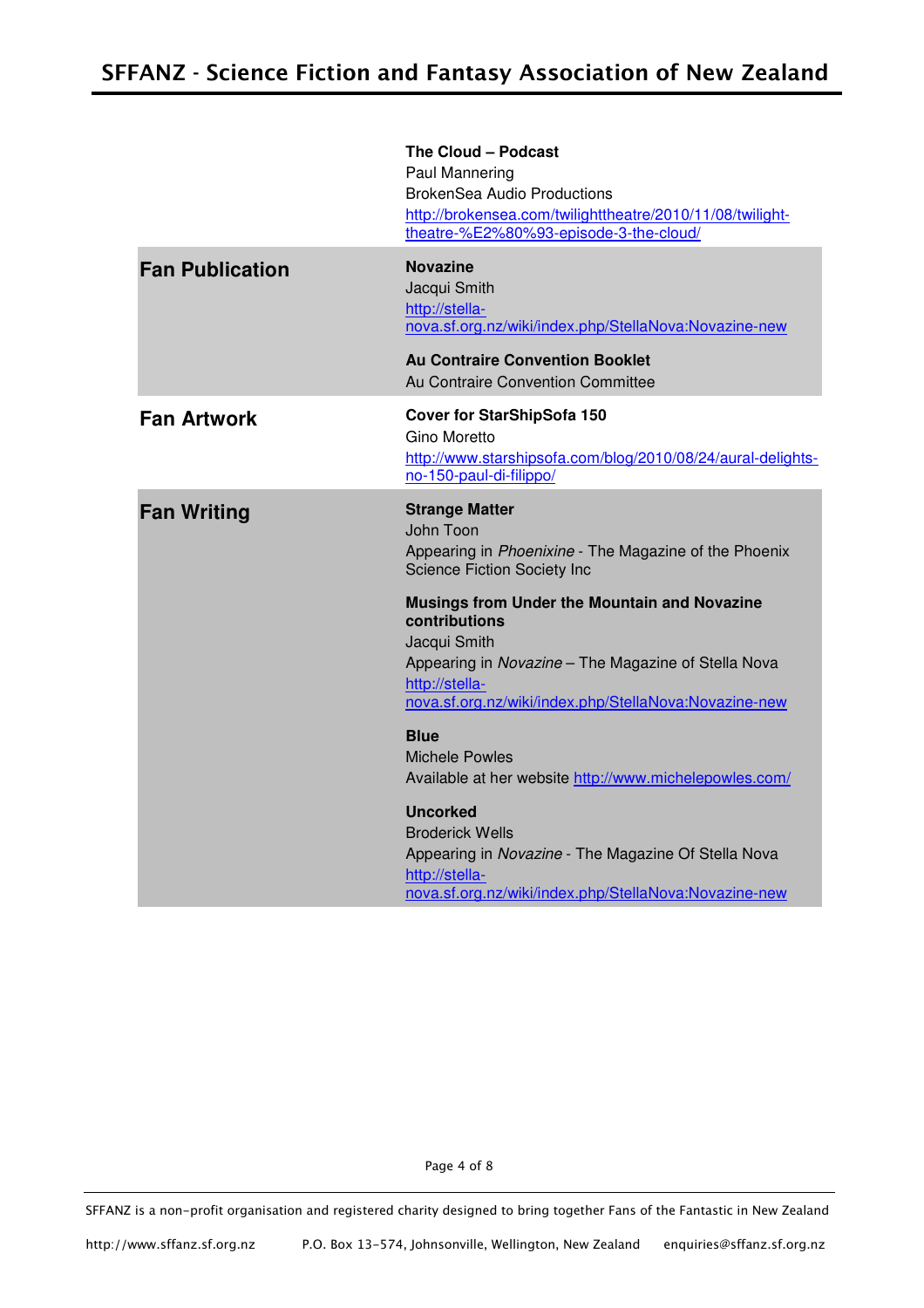|                        | The Cloud - Podcast<br>Paul Mannering<br><b>BrokenSea Audio Productions</b><br>http://brokensea.com/twilighttheatre/2010/11/08/twilight-<br>theatre-%E2%80%93-episode-3-the-cloud/                                                                                                                                                                          |
|------------------------|-------------------------------------------------------------------------------------------------------------------------------------------------------------------------------------------------------------------------------------------------------------------------------------------------------------------------------------------------------------|
| <b>Fan Publication</b> | <b>Novazine</b><br>Jacqui Smith<br>http://stella-<br>nova.sf.org.nz/wiki/index.php/StellaNova:Novazine-new<br><b>Au Contraire Convention Booklet</b><br>Au Contraire Convention Committee                                                                                                                                                                   |
| <b>Fan Artwork</b>     | <b>Cover for StarShipSofa 150</b><br>Gino Moretto<br>http://www.starshipsofa.com/blog/2010/08/24/aural-delights-<br>no-150-paul-di-filippo/                                                                                                                                                                                                                 |
| <b>Fan Writing</b>     | <b>Strange Matter</b><br>John Toon<br>Appearing in Phoenixine - The Magazine of the Phoenix<br><b>Science Fiction Society Inc</b><br><b>Musings from Under the Mountain and Novazine</b><br>contributions<br>Jacqui Smith<br>Appearing in Novazine - The Magazine of Stella Nova<br>http://stella-<br>nova.sf.org.nz/wiki/index.php/StellaNova:Novazine-new |
|                        | <b>Blue</b><br><b>Michele Powles</b><br>Available at her website http://www.michelepowles.com/<br><b>Uncorked</b><br><b>Broderick Wells</b><br>Appearing in Novazine - The Magazine Of Stella Nova<br>http://stella-<br>nova.sf.org.nz/wiki/index.php/StellaNova:Novazine-new                                                                               |

Page 4 of 8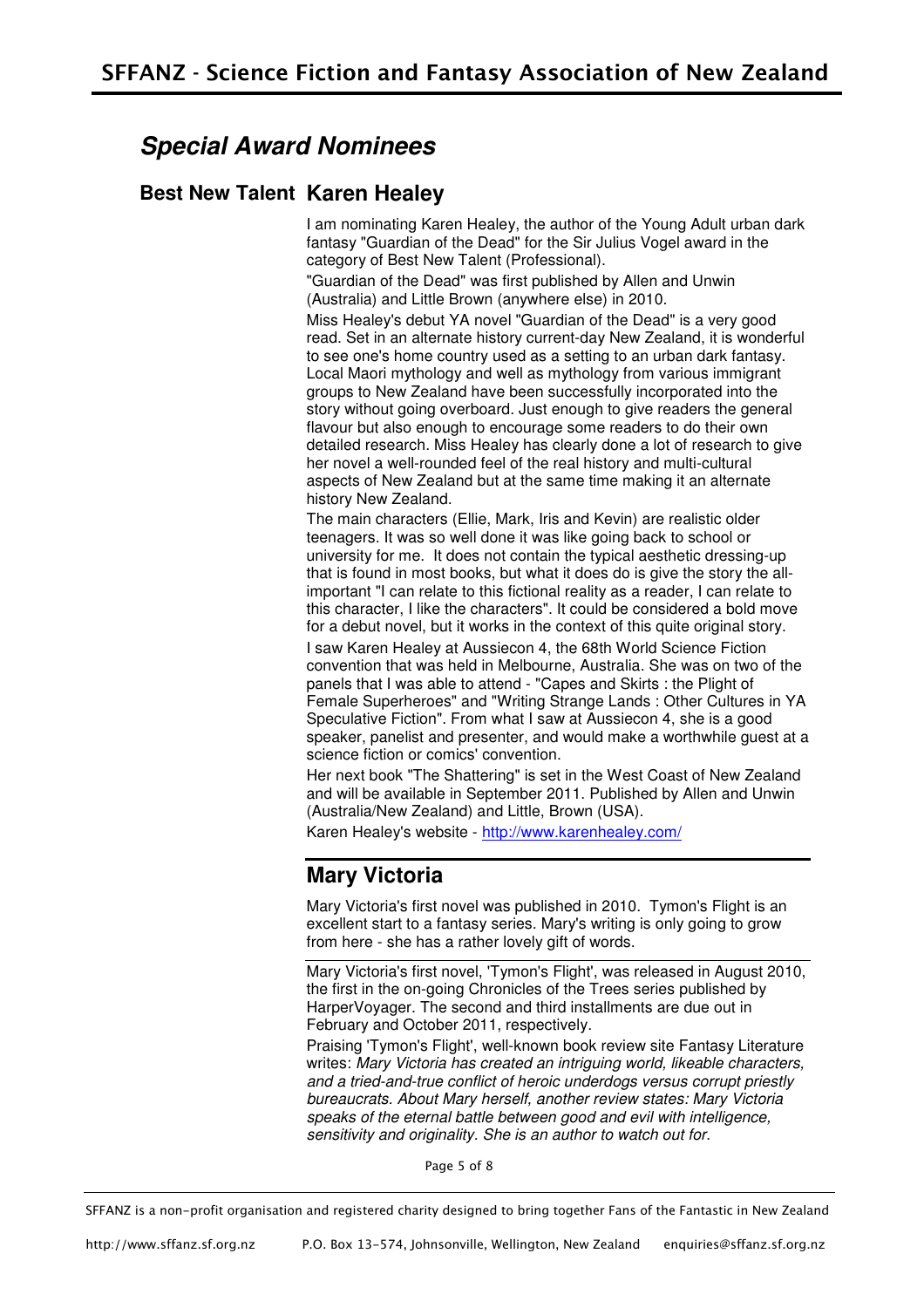### **Special Award Nominees**

#### **Best New Talent Karen Healey**

I am nominating Karen Healey, the author of the Young Adult urban dark fantasy "Guardian of the Dead" for the Sir Julius Vogel award in the category of Best New Talent (Professional).

"Guardian of the Dead" was first published by Allen and Unwin (Australia) and Little Brown (anywhere else) in 2010.

Miss Healey's debut YA novel "Guardian of the Dead" is a very good read. Set in an alternate history current-day New Zealand, it is wonderful to see one's home country used as a setting to an urban dark fantasy. Local Maori mythology and well as mythology from various immigrant groups to New Zealand have been successfully incorporated into the story without going overboard. Just enough to give readers the general flavour but also enough to encourage some readers to do their own detailed research. Miss Healey has clearly done a lot of research to give her novel a well-rounded feel of the real history and multi-cultural aspects of New Zealand but at the same time making it an alternate history New Zealand.

The main characters (Ellie, Mark, Iris and Kevin) are realistic older teenagers. It was so well done it was like going back to school or university for me. It does not contain the typical aesthetic dressing-up that is found in most books, but what it does do is give the story the allimportant "I can relate to this fictional reality as a reader, I can relate to this character, I like the characters". It could be considered a bold move for a debut novel, but it works in the context of this quite original story.

I saw Karen Healey at Aussiecon 4, the 68th World Science Fiction convention that was held in Melbourne, Australia. She was on two of the panels that I was able to attend - "Capes and Skirts : the Plight of Female Superheroes" and "Writing Strange Lands : Other Cultures in YA Speculative Fiction". From what I saw at Aussiecon 4, she is a good speaker, panelist and presenter, and would make a worthwhile guest at a science fiction or comics' convention.

Her next book "The Shattering" is set in the West Coast of New Zealand and will be available in September 2011. Published by Allen and Unwin (Australia/New Zealand) and Little, Brown (USA).

Karen Healey's website - http://www.karenhealey.com/

### **Mary Victoria**

Mary Victoria's first novel was published in 2010. Tymon's Flight is an excellent start to a fantasy series. Mary's writing is only going to grow from here - she has a rather lovely gift of words.

Mary Victoria's first novel, 'Tymon's Flight', was released in August 2010, the first in the on-going Chronicles of the Trees series published by HarperVoyager. The second and third installments are due out in February and October 2011, respectively.

Praising 'Tymon's Flight', well-known book review site Fantasy Literature writes: Mary Victoria has created an intriguing world, likeable characters, and a tried-and-true conflict of heroic underdogs versus corrupt priestly bureaucrats. About Mary herself, another review states: Mary Victoria speaks of the eternal battle between good and evil with intelligence, sensitivity and originality. She is an author to watch out for.

Page 5 of 8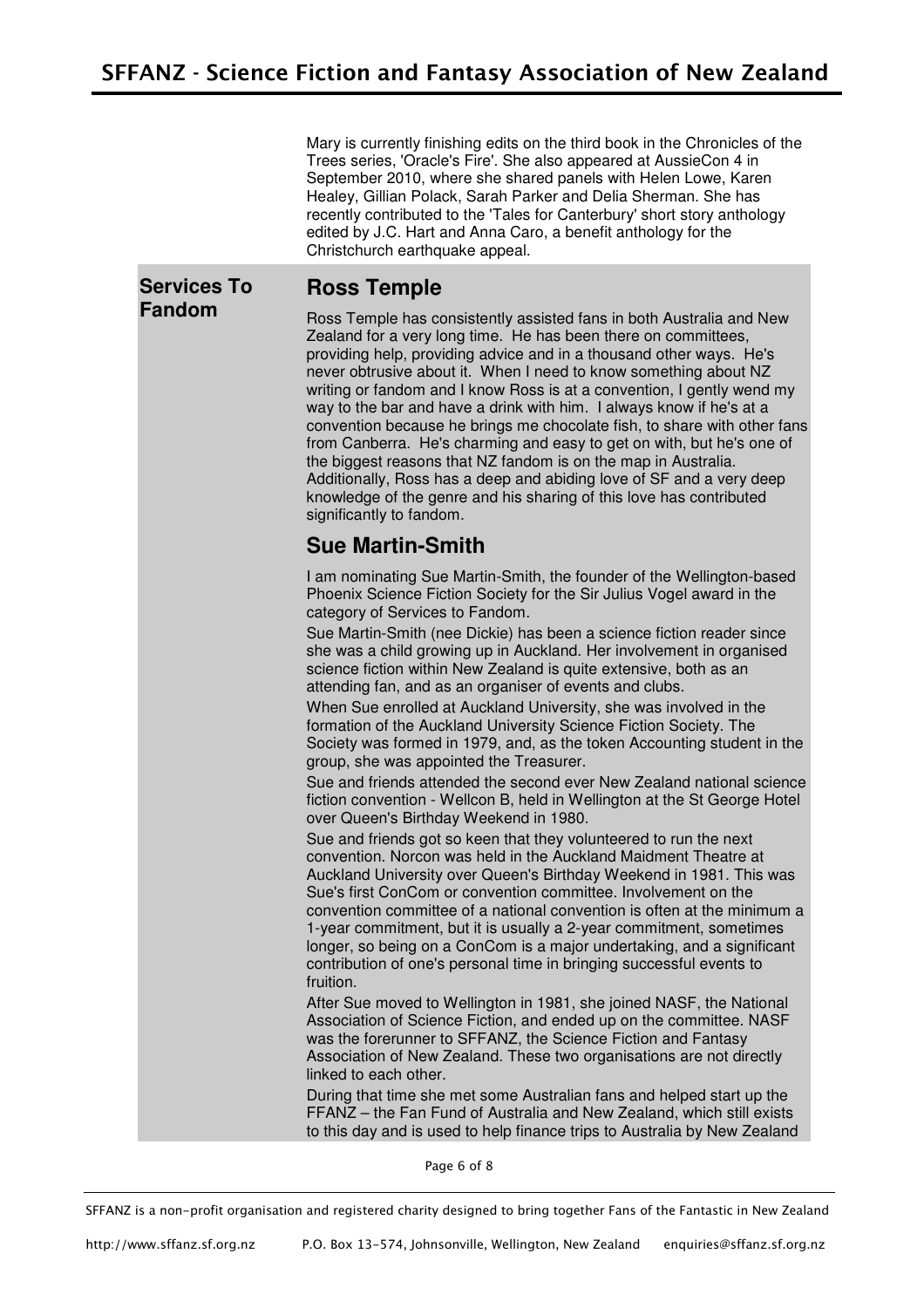Mary is currently finishing edits on the third book in the Chronicles of the Trees series, 'Oracle's Fire'. She also appeared at AussieCon 4 in September 2010, where she shared panels with Helen Lowe, Karen Healey, Gillian Polack, Sarah Parker and Delia Sherman. She has recently contributed to the 'Tales for Canterbury' short story anthology edited by J.C. Hart and Anna Caro, a benefit anthology for the Christchurch earthquake appeal.

#### **Services To Fandom**

#### **Ross Temple**

Ross Temple has consistently assisted fans in both Australia and New Zealand for a very long time. He has been there on committees, providing help, providing advice and in a thousand other ways. He's never obtrusive about it. When I need to know something about NZ writing or fandom and I know Ross is at a convention, I gently wend my way to the bar and have a drink with him. I always know if he's at a convention because he brings me chocolate fish, to share with other fans from Canberra. He's charming and easy to get on with, but he's one of the biggest reasons that NZ fandom is on the map in Australia. Additionally, Ross has a deep and abiding love of SF and a very deep knowledge of the genre and his sharing of this love has contributed significantly to fandom.

### **Sue Martin-Smith**

I am nominating Sue Martin-Smith, the founder of the Wellington-based Phoenix Science Fiction Society for the Sir Julius Vogel award in the category of Services to Fandom.

Sue Martin-Smith (nee Dickie) has been a science fiction reader since she was a child growing up in Auckland. Her involvement in organised science fiction within New Zealand is quite extensive, both as an attending fan, and as an organiser of events and clubs.

When Sue enrolled at Auckland University, she was involved in the formation of the Auckland University Science Fiction Society. The Society was formed in 1979, and, as the token Accounting student in the group, she was appointed the Treasurer.

Sue and friends attended the second ever New Zealand national science fiction convention - Wellcon B, held in Wellington at the St George Hotel over Queen's Birthday Weekend in 1980.

Sue and friends got so keen that they volunteered to run the next convention. Norcon was held in the Auckland Maidment Theatre at Auckland University over Queen's Birthday Weekend in 1981. This was Sue's first ConCom or convention committee. Involvement on the convention committee of a national convention is often at the minimum a 1-year commitment, but it is usually a 2-year commitment, sometimes longer, so being on a ConCom is a major undertaking, and a significant contribution of one's personal time in bringing successful events to fruition.

After Sue moved to Wellington in 1981, she joined NASF, the National Association of Science Fiction, and ended up on the committee. NASF was the forerunner to SFFANZ, the Science Fiction and Fantasy Association of New Zealand. These two organisations are not directly linked to each other.

During that time she met some Australian fans and helped start up the FFANZ – the Fan Fund of Australia and New Zealand, which still exists to this day and is used to help finance trips to Australia by New Zealand

Page 6 of 8

SFFANZ is a non-profit organisation and registered charity designed to bring together Fans of the Fantastic in New Zealand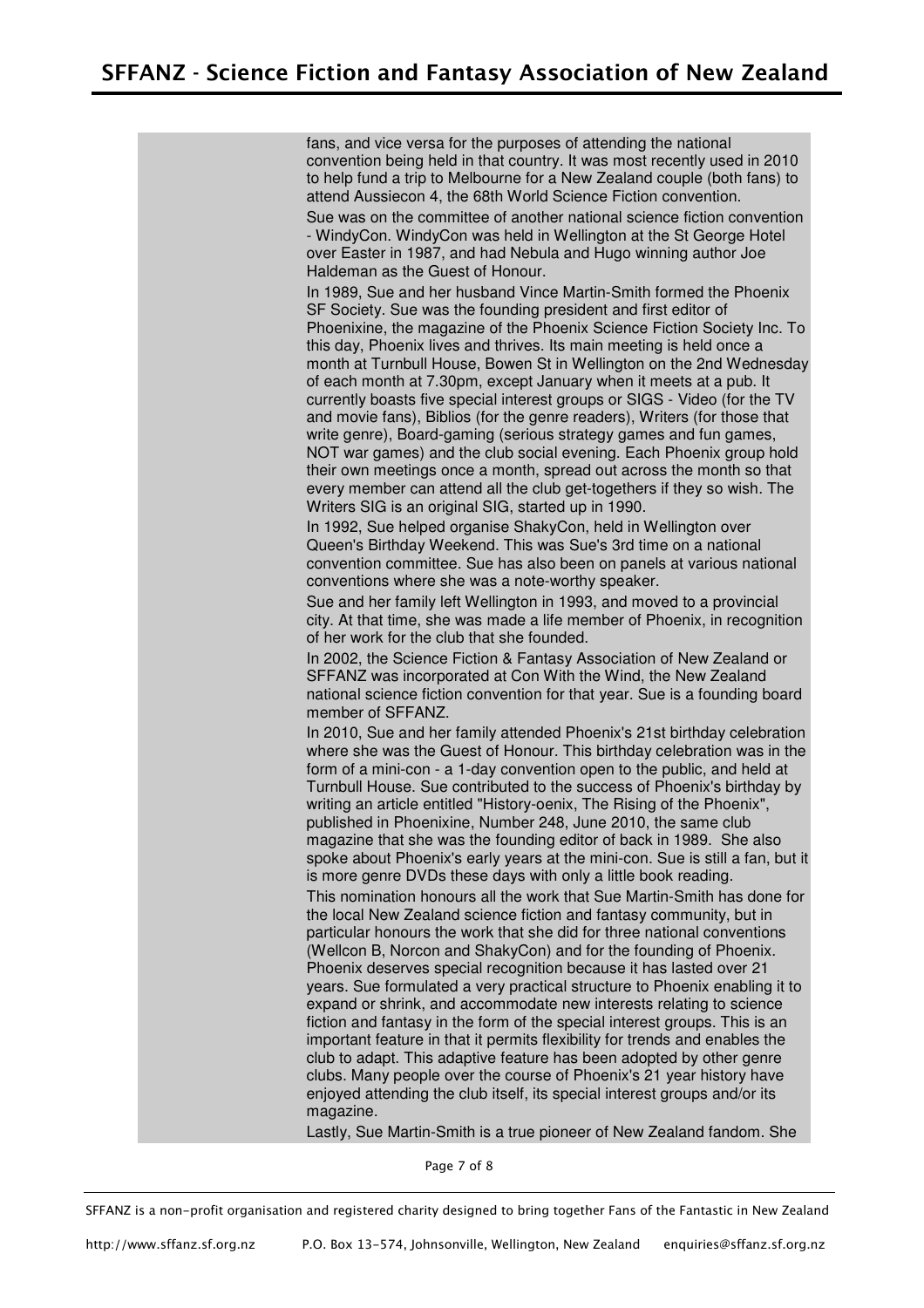fans, and vice versa for the purposes of attending the national convention being held in that country. It was most recently used in 2010 to help fund a trip to Melbourne for a New Zealand couple (both fans) to attend Aussiecon 4, the 68th World Science Fiction convention.

Sue was on the committee of another national science fiction convention - WindyCon. WindyCon was held in Wellington at the St George Hotel over Easter in 1987, and had Nebula and Hugo winning author Joe Haldeman as the Guest of Honour.

In 1989, Sue and her husband Vince Martin-Smith formed the Phoenix SF Society. Sue was the founding president and first editor of Phoenixine, the magazine of the Phoenix Science Fiction Society Inc. To this day, Phoenix lives and thrives. Its main meeting is held once a month at Turnbull House, Bowen St in Wellington on the 2nd Wednesday of each month at 7.30pm, except January when it meets at a pub. It currently boasts five special interest groups or SIGS - Video (for the TV and movie fans), Biblios (for the genre readers), Writers (for those that write genre), Board-gaming (serious strategy games and fun games, NOT war games) and the club social evening. Each Phoenix group hold their own meetings once a month, spread out across the month so that every member can attend all the club get-togethers if they so wish. The Writers SIG is an original SIG, started up in 1990.

In 1992, Sue helped organise ShakyCon, held in Wellington over Queen's Birthday Weekend. This was Sue's 3rd time on a national convention committee. Sue has also been on panels at various national conventions where she was a note-worthy speaker.

Sue and her family left Wellington in 1993, and moved to a provincial city. At that time, she was made a life member of Phoenix, in recognition of her work for the club that she founded.

In 2002, the Science Fiction & Fantasy Association of New Zealand or SFFANZ was incorporated at Con With the Wind, the New Zealand national science fiction convention for that year. Sue is a founding board member of SFFANZ.

In 2010, Sue and her family attended Phoenix's 21st birthday celebration where she was the Guest of Honour. This birthday celebration was in the form of a mini-con - a 1-day convention open to the public, and held at Turnbull House. Sue contributed to the success of Phoenix's birthday by writing an article entitled "History-oenix, The Rising of the Phoenix", published in Phoenixine, Number 248, June 2010, the same club magazine that she was the founding editor of back in 1989. She also spoke about Phoenix's early years at the mini-con. Sue is still a fan, but it

is more genre DVDs these days with only a little book reading. This nomination honours all the work that Sue Martin-Smith has done for the local New Zealand science fiction and fantasy community, but in particular honours the work that she did for three national conventions (Wellcon B, Norcon and ShakyCon) and for the founding of Phoenix. Phoenix deserves special recognition because it has lasted over 21 years. Sue formulated a very practical structure to Phoenix enabling it to expand or shrink, and accommodate new interests relating to science fiction and fantasy in the form of the special interest groups. This is an important feature in that it permits flexibility for trends and enables the club to adapt. This adaptive feature has been adopted by other genre clubs. Many people over the course of Phoenix's 21 year history have enjoyed attending the club itself, its special interest groups and/or its magazine.

Lastly, Sue Martin-Smith is a true pioneer of New Zealand fandom. She

Page 7 of 8

SFFANZ is a non-profit organisation and registered charity designed to bring together Fans of the Fantastic in New Zealand